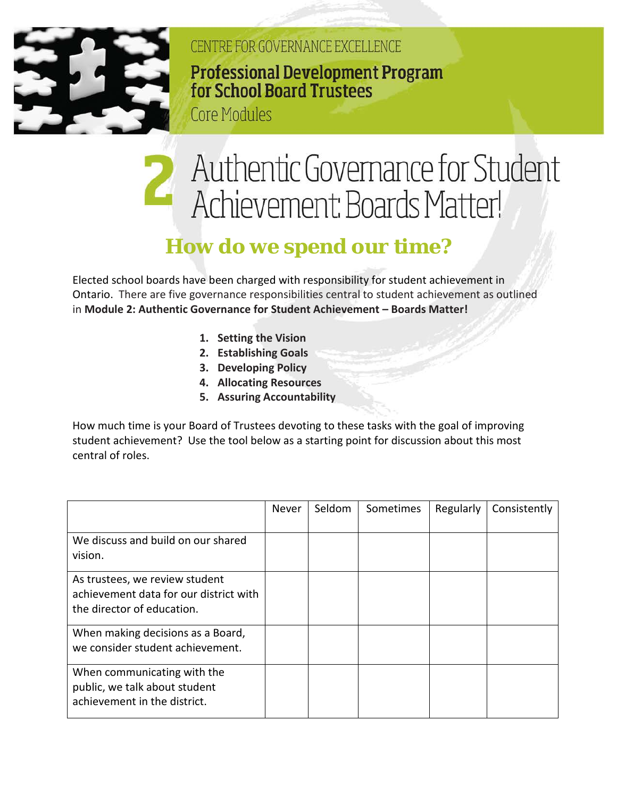

CENTRE FOR GOVERNANCE EXCELLENCE **Professional Development Program** for School Board Trustees

**Core Modules** 

## Authentic Governance for Student Achievement: Boards Matter!

## **How do we spend our time?**

Elected school boards have been charged with responsibility for student achievement in Ontario. There are five governance responsibilities central to student achievement as outlined in **Module 2: Authentic Governance for Student Achievement – Boards Matter!**

- **1. Setting the Vision**
- **2. Establishing Goals**
- **3. Developing Policy**
- **4. Allocating Resources**
- **5. Assuring Accountability**

How much time is your Board of Trustees devoting to these tasks with the goal of improving student achievement? Use the tool below as a starting point for discussion about this most central of roles.

|                                                                                                        | Never | Seldom | Sometimes | Regularly | Consistently |
|--------------------------------------------------------------------------------------------------------|-------|--------|-----------|-----------|--------------|
| We discuss and build on our shared<br>vision.                                                          |       |        |           |           |              |
| As trustees, we review student<br>achievement data for our district with<br>the director of education. |       |        |           |           |              |
| When making decisions as a Board,<br>we consider student achievement.                                  |       |        |           |           |              |
| When communicating with the<br>public, we talk about student<br>achievement in the district.           |       |        |           |           |              |